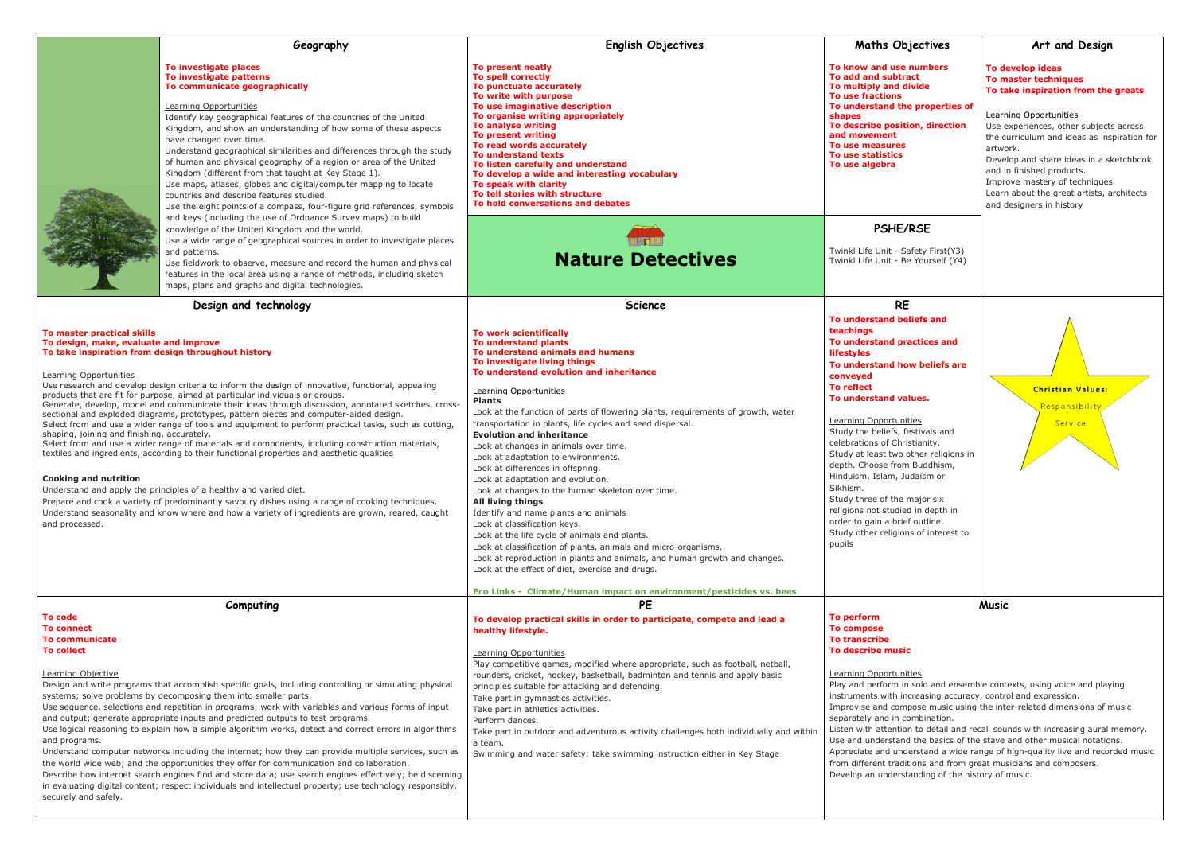|                                                                                                                                                                                                                                                                                                                                                                                                                                                                                                                                                                                                                                                                                                                                                                                                                                                                                                                                                                                                                                                         | Geography                                                                                                                                                                                                                                                                                                                                                                                                                                                                                                                                                                                                                                                                                                                                                                                                                                                                                                                                                                   | <b>English Objectives</b>                                                                                                                                                                                                                                                                                                                                                                                                                                                                                                                                                                                                                                                                                                                                                                                                                                                                                                                                                                                                                 | <b>Maths Objectives</b>                                                                                                                                                                                                                                                                                                                                                                                                                                                                                                                                       |
|---------------------------------------------------------------------------------------------------------------------------------------------------------------------------------------------------------------------------------------------------------------------------------------------------------------------------------------------------------------------------------------------------------------------------------------------------------------------------------------------------------------------------------------------------------------------------------------------------------------------------------------------------------------------------------------------------------------------------------------------------------------------------------------------------------------------------------------------------------------------------------------------------------------------------------------------------------------------------------------------------------------------------------------------------------|-----------------------------------------------------------------------------------------------------------------------------------------------------------------------------------------------------------------------------------------------------------------------------------------------------------------------------------------------------------------------------------------------------------------------------------------------------------------------------------------------------------------------------------------------------------------------------------------------------------------------------------------------------------------------------------------------------------------------------------------------------------------------------------------------------------------------------------------------------------------------------------------------------------------------------------------------------------------------------|-------------------------------------------------------------------------------------------------------------------------------------------------------------------------------------------------------------------------------------------------------------------------------------------------------------------------------------------------------------------------------------------------------------------------------------------------------------------------------------------------------------------------------------------------------------------------------------------------------------------------------------------------------------------------------------------------------------------------------------------------------------------------------------------------------------------------------------------------------------------------------------------------------------------------------------------------------------------------------------------------------------------------------------------|---------------------------------------------------------------------------------------------------------------------------------------------------------------------------------------------------------------------------------------------------------------------------------------------------------------------------------------------------------------------------------------------------------------------------------------------------------------------------------------------------------------------------------------------------------------|
|                                                                                                                                                                                                                                                                                                                                                                                                                                                                                                                                                                                                                                                                                                                                                                                                                                                                                                                                                                                                                                                         | To investigate places<br>To investigate patterns<br>To communicate geographically<br>Learning Opportunities<br>Identify key geographical features of the countries of the United<br>Kingdom, and show an understanding of how some of these aspects<br>have changed over time.<br>Understand geographical similarities and differences through the study<br>of human and physical geography of a region or area of the United<br>Kingdom (different from that taught at Key Stage 1).<br>Use maps, atlases, globes and digital/computer mapping to locate<br>countries and describe features studied.<br>Use the eight points of a compass, four-figure grid references, symbols                                                                                                                                                                                                                                                                                            | To present neatly<br>To spell correctly<br>To punctuate accurately<br>To write with purpose<br>To use imaginative description<br>To organise writing appropriately<br><b>To analyse writing</b><br><b>To present writing</b><br>To read words accurately<br><b>To understand texts</b><br>To listen carefully and understand<br>To develop a wide and interesting vocabulary<br>To speak with clarity<br>To tell stories with structure<br>To hold conversations and debates                                                                                                                                                                                                                                                                                                                                                                                                                                                                                                                                                              | To know and use numbers<br><b>To add and subtract</b><br>To multiply and divide<br><b>To use fractions</b><br>To understand the properties<br>shapes<br>To describe position, direction<br>and movement<br>To use measures<br>To use statistics<br>To use algebra                                                                                                                                                                                                                                                                                             |
|                                                                                                                                                                                                                                                                                                                                                                                                                                                                                                                                                                                                                                                                                                                                                                                                                                                                                                                                                                                                                                                         | and keys (including the use of Ordnance Survey maps) to build<br>knowledge of the United Kingdom and the world.                                                                                                                                                                                                                                                                                                                                                                                                                                                                                                                                                                                                                                                                                                                                                                                                                                                             |                                                                                                                                                                                                                                                                                                                                                                                                                                                                                                                                                                                                                                                                                                                                                                                                                                                                                                                                                                                                                                           | PSHE/RSE                                                                                                                                                                                                                                                                                                                                                                                                                                                                                                                                                      |
|                                                                                                                                                                                                                                                                                                                                                                                                                                                                                                                                                                                                                                                                                                                                                                                                                                                                                                                                                                                                                                                         | Use a wide range of geographical sources in order to investigate places<br>and patterns.<br>Use fieldwork to observe, measure and record the human and physical<br>features in the local area using a range of methods, including sketch<br>maps, plans and graphs and digital technologies.                                                                                                                                                                                                                                                                                                                                                                                                                                                                                                                                                                                                                                                                                | <b>Nature Detectives</b>                                                                                                                                                                                                                                                                                                                                                                                                                                                                                                                                                                                                                                                                                                                                                                                                                                                                                                                                                                                                                  | Twinkl Life Unit - Safety First(Y3)<br>Twinkl Life Unit - Be Yourself (Y4)                                                                                                                                                                                                                                                                                                                                                                                                                                                                                    |
|                                                                                                                                                                                                                                                                                                                                                                                                                                                                                                                                                                                                                                                                                                                                                                                                                                                                                                                                                                                                                                                         | Design and technology                                                                                                                                                                                                                                                                                                                                                                                                                                                                                                                                                                                                                                                                                                                                                                                                                                                                                                                                                       | <b>Science</b>                                                                                                                                                                                                                                                                                                                                                                                                                                                                                                                                                                                                                                                                                                                                                                                                                                                                                                                                                                                                                            | <b>RE</b>                                                                                                                                                                                                                                                                                                                                                                                                                                                                                                                                                     |
| To master practical skills<br>To design, make, evaluate and improve<br>To take inspiration from design throughout history<br>Learning Opportunities<br>shaping, joining and finishing, accurately.<br><b>Cooking and nutrition</b><br>and processed.                                                                                                                                                                                                                                                                                                                                                                                                                                                                                                                                                                                                                                                                                                                                                                                                    | Use research and develop design criteria to inform the design of innovative, functional, appealing<br>products that are fit for purpose, aimed at particular individuals or groups.<br>Generate, develop, model and communicate their ideas through discussion, annotated sketches, cross-<br>sectional and exploded diagrams, prototypes, pattern pieces and computer-aided design.<br>Select from and use a wider range of tools and equipment to perform practical tasks, such as cutting,<br>Select from and use a wider range of materials and components, including construction materials,<br>textiles and ingredients, according to their functional properties and aesthetic qualities<br>Understand and apply the principles of a healthy and varied diet.<br>Prepare and cook a variety of predominantly savoury dishes using a range of cooking techniques.<br>Understand seasonality and know where and how a variety of ingredients are grown, reared, caught | <b>To work scientifically</b><br>To understand plants<br>To understand animals and humans<br>To investigate living things<br>To understand evolution and inheritance<br>Learning Opportunities<br><b>Plants</b><br>Look at the function of parts of flowering plants, requirements of growth, water<br>transportation in plants, life cycles and seed dispersal.<br><b>Evolution and inheritance</b><br>Look at changes in animals over time.<br>Look at adaptation to environments.<br>Look at differences in offspring.<br>Look at adaptation and evolution.<br>Look at changes to the human skeleton over time.<br>All living things<br>Identify and name plants and animals<br>Look at classification keys.<br>Look at the life cycle of animals and plants.<br>Look at classification of plants, animals and micro-organisms.<br>Look at reproduction in plants and animals, and human growth and changes.<br>Look at the effect of diet, exercise and drugs.<br>Eco Links - Climate/Human impact on environment/pesticides vs. bees | To understand beliefs and<br>teachings<br>To understand practices and<br><b>lifestyles</b><br>To understand how beliefs are<br>conveyed<br><b>To reflect</b><br>To understand values.<br>Learning Opportunities<br>Study the beliefs, festivals and<br>celebrations of Christianity.<br>Study at least two other religions<br>depth. Choose from Buddhism,<br>Hinduism, Islam, Judaism or<br>Sikhism.<br>Study three of the major six<br>religions not studied in depth in<br>order to gain a brief outline.<br>Study other religions of interest t<br>pupils |
| Computing                                                                                                                                                                                                                                                                                                                                                                                                                                                                                                                                                                                                                                                                                                                                                                                                                                                                                                                                                                                                                                               |                                                                                                                                                                                                                                                                                                                                                                                                                                                                                                                                                                                                                                                                                                                                                                                                                                                                                                                                                                             | <b>PE</b>                                                                                                                                                                                                                                                                                                                                                                                                                                                                                                                                                                                                                                                                                                                                                                                                                                                                                                                                                                                                                                 |                                                                                                                                                                                                                                                                                                                                                                                                                                                                                                                                                               |
| To code<br><b>To connect</b><br><b>To communicate</b><br><b>To collect</b><br>Learning Objective<br>Design and write programs that accomplish specific goals, including controlling or simulating physical<br>systems; solve problems by decomposing them into smaller parts.<br>Use sequence, selections and repetition in programs; work with variables and various forms of input<br>and output; generate appropriate inputs and predicted outputs to test programs.<br>Use logical reasoning to explain how a simple algorithm works, detect and correct errors in algorithms<br>and programs.<br>Understand computer networks including the internet; how they can provide multiple services, such as<br>the world wide web; and the opportunities they offer for communication and collaboration.<br>Describe how internet search engines find and store data; use search engines effectively; be discerning<br>in evaluating digital content; respect individuals and intellectual property; use technology responsibly,<br>securely and safely. |                                                                                                                                                                                                                                                                                                                                                                                                                                                                                                                                                                                                                                                                                                                                                                                                                                                                                                                                                                             | To develop practical skills in order to participate, compete and lead a<br>healthy lifestyle.<br>Learning Opportunities<br>Play competitive games, modified where appropriate, such as football, netball,<br>rounders, cricket, hockey, basketball, badminton and tennis and apply basic<br>principles suitable for attacking and defending.<br>Take part in gymnastics activities.<br>Take part in athletics activities.<br>Perform dances.<br>Take part in outdoor and adventurous activity challenges both individually and within<br>a team.<br>Swimming and water safety: take swimming instruction either in Key Stage                                                                                                                                                                                                                                                                                                                                                                                                              | To perform<br><b>To compose</b><br><b>To transcribe</b><br>To describe music<br>Learning Opportunities<br>Play and perform in solo and ense<br>instruments with increasing accur<br>Improvise and compose music us<br>separately and in combination.<br>Listen with attention to detail and<br>Use and understand the basics of<br>Appreciate and understand a wide<br>from different traditions and from<br>Develop an understanding of the                                                                                                                  |